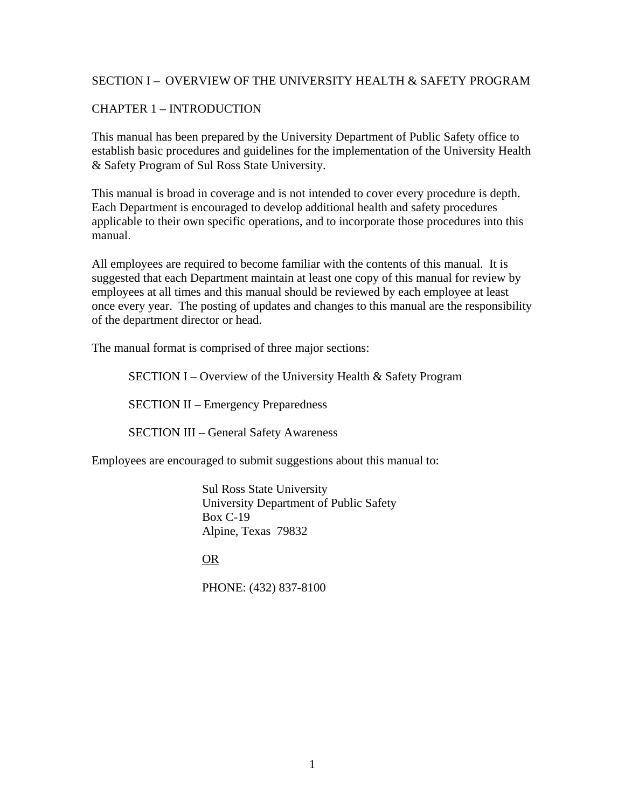#### SECTION I – OVERVIEW OF THE UNIVERSITY HEALTH & SAFETY PROGRAM

#### CHAPTER 1 – INTRODUCTION

This manual has been prepared by the University Department of Public Safety office to establish basic procedures and guidelines for the implementation of the University Health & Safety Program of Sul Ross State University.

This manual is broad in coverage and is not intended to cover every procedure is depth. Each Department is encouraged to develop additional health and safety procedures applicable to their own specific operations, and to incorporate those procedures into this manual.

All employees are required to become familiar with the contents of this manual. It is suggested that each Department maintain at least one copy of this manual for review by employees at all times and this manual should be reviewed by each employee at least once every year. The posting of updates and changes to this manual are the responsibility of the department director or head.

The manual format is comprised of three major sections:

SECTION I – Overview of the University Health & Safety Program

SECTION II – Emergency Preparedness

SECTION III – General Safety Awareness

Employees are encouraged to submit suggestions about this manual to:

Sul Ross State University University Department of Public Safety Box C-19 Alpine, Texas 79832

OR

PHONE: (432) 837-8100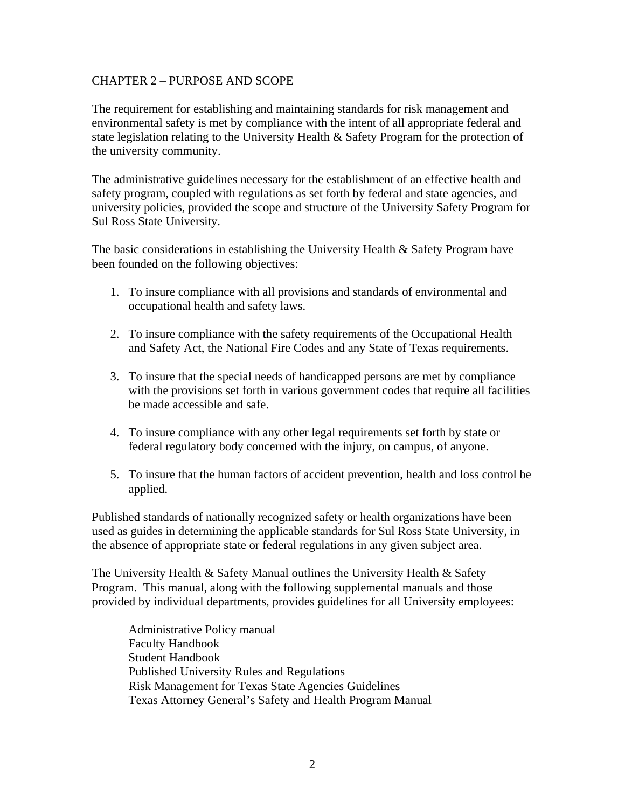#### CHAPTER 2 – PURPOSE AND SCOPE

The requirement for establishing and maintaining standards for risk management and environmental safety is met by compliance with the intent of all appropriate federal and state legislation relating to the University Health & Safety Program for the protection of the university community.

The administrative guidelines necessary for the establishment of an effective health and safety program, coupled with regulations as set forth by federal and state agencies, and university policies, provided the scope and structure of the University Safety Program for Sul Ross State University.

The basic considerations in establishing the University Health & Safety Program have been founded on the following objectives:

- 1. To insure compliance with all provisions and standards of environmental and occupational health and safety laws.
- 2. To insure compliance with the safety requirements of the Occupational Health and Safety Act, the National Fire Codes and any State of Texas requirements.
- 3. To insure that the special needs of handicapped persons are met by compliance with the provisions set forth in various government codes that require all facilities be made accessible and safe.
- 4. To insure compliance with any other legal requirements set forth by state or federal regulatory body concerned with the injury, on campus, of anyone.
- 5. To insure that the human factors of accident prevention, health and loss control be applied.

Published standards of nationally recognized safety or health organizations have been used as guides in determining the applicable standards for Sul Ross State University, in the absence of appropriate state or federal regulations in any given subject area.

The University Health  $\&$  Safety Manual outlines the University Health  $\&$  Safety Program. This manual, along with the following supplemental manuals and those provided by individual departments, provides guidelines for all University employees:

Administrative Policy manual Faculty Handbook Student Handbook Published University Rules and Regulations Risk Management for Texas State Agencies Guidelines Texas Attorney General's Safety and Health Program Manual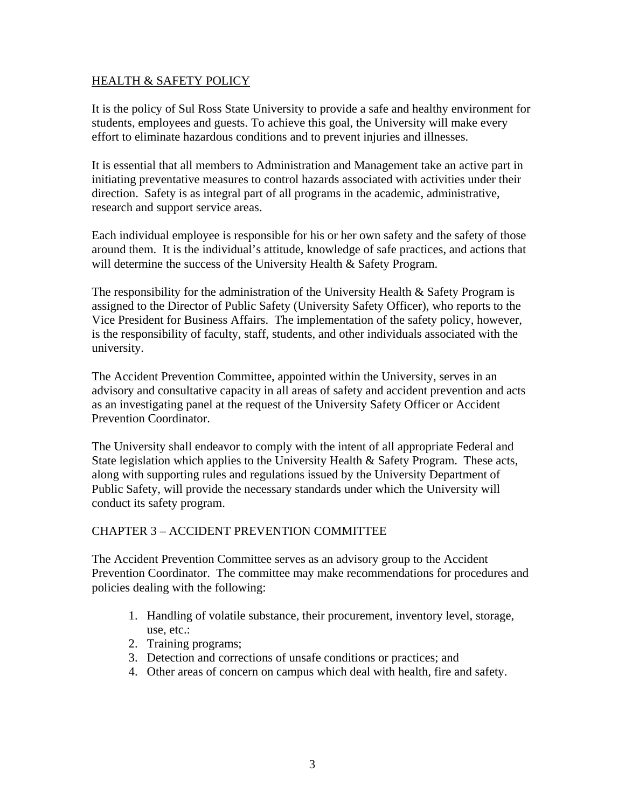#### HEALTH & SAFETY POLICY

It is the policy of Sul Ross State University to provide a safe and healthy environment for students, employees and guests. To achieve this goal, the University will make every effort to eliminate hazardous conditions and to prevent injuries and illnesses.

It is essential that all members to Administration and Management take an active part in initiating preventative measures to control hazards associated with activities under their direction. Safety is as integral part of all programs in the academic, administrative, research and support service areas.

Each individual employee is responsible for his or her own safety and the safety of those around them. It is the individual's attitude, knowledge of safe practices, and actions that will determine the success of the University Health & Safety Program.

The responsibility for the administration of the University Health  $\&$  Safety Program is assigned to the Director of Public Safety (University Safety Officer), who reports to the Vice President for Business Affairs. The implementation of the safety policy, however, is the responsibility of faculty, staff, students, and other individuals associated with the university.

The Accident Prevention Committee, appointed within the University, serves in an advisory and consultative capacity in all areas of safety and accident prevention and acts as an investigating panel at the request of the University Safety Officer or Accident Prevention Coordinator.

The University shall endeavor to comply with the intent of all appropriate Federal and State legislation which applies to the University Health & Safety Program. These acts, along with supporting rules and regulations issued by the University Department of Public Safety, will provide the necessary standards under which the University will conduct its safety program.

### CHAPTER 3 – ACCIDENT PREVENTION COMMITTEE

The Accident Prevention Committee serves as an advisory group to the Accident Prevention Coordinator. The committee may make recommendations for procedures and policies dealing with the following:

- 1. Handling of volatile substance, their procurement, inventory level, storage, use, etc.:
- 2. Training programs;
- 3. Detection and corrections of unsafe conditions or practices; and
- 4. Other areas of concern on campus which deal with health, fire and safety.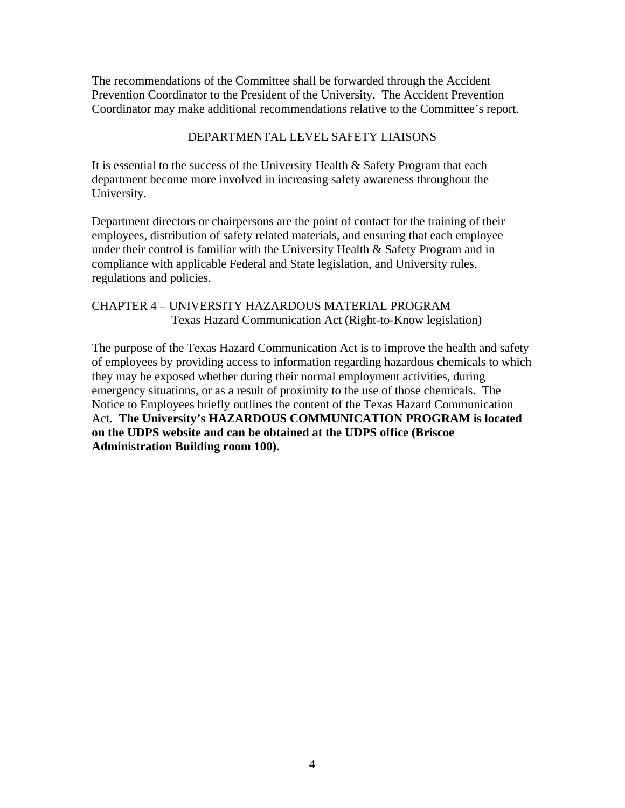The recommendations of the Committee shall be forwarded through the Accident Prevention Coordinator to the President of the University. The Accident Prevention Coordinator may make additional recommendations relative to the Committee's report.

### DEPARTMENTAL LEVEL SAFETY LIAISONS

It is essential to the success of the University Health & Safety Program that each department become more involved in increasing safety awareness throughout the University.

Department directors or chairpersons are the point of contact for the training of their employees, distribution of safety related materials, and ensuring that each employee under their control is familiar with the University Health & Safety Program and in compliance with applicable Federal and State legislation, and University rules, regulations and policies.

### CHAPTER 4 – UNIVERSITY HAZARDOUS MATERIAL PROGRAM Texas Hazard Communication Act (Right-to-Know legislation)

The purpose of the Texas Hazard Communication Act is to improve the health and safety of employees by providing access to information regarding hazardous chemicals to which they may be exposed whether during their normal employment activities, during emergency situations, or as a result of proximity to the use of those chemicals. The Notice to Employees briefly outlines the content of the Texas Hazard Communication Act. **The University's HAZARDOUS COMMUNICATION PROGRAM is located on the UDPS website and can be obtained at the UDPS office (Briscoe Administration Building room 100).**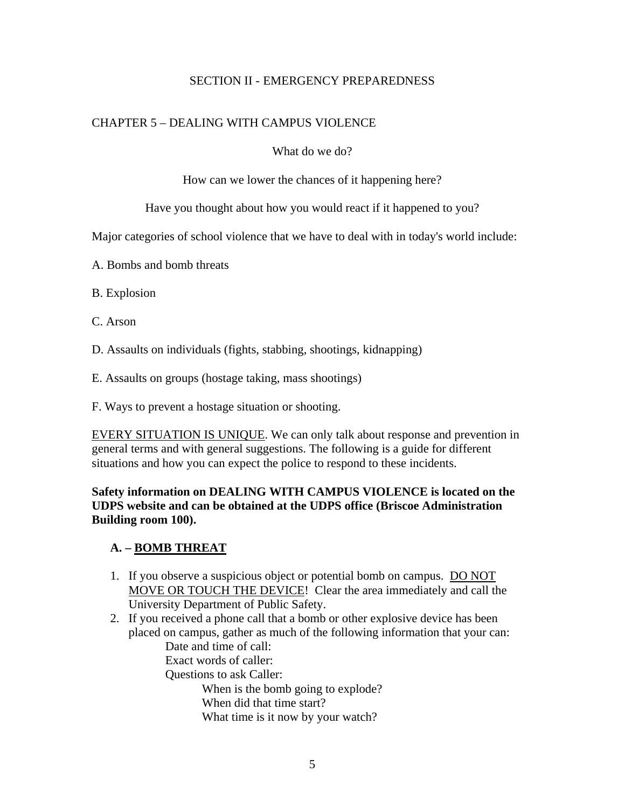### SECTION II - EMERGENCY PREPAREDNESS

### CHAPTER 5 – DEALING WITH CAMPUS VIOLENCE

What do we do?

How can we lower the chances of it happening here?

Have you thought about how you would react if it happened to you?

Major categories of school violence that we have to deal with in today's world include:

- A. Bombs and bomb threats
- B. Explosion
- C. Arson
- D. Assaults on individuals (fights, stabbing, shootings, kidnapping)
- E. Assaults on groups (hostage taking, mass shootings)
- F. Ways to prevent a hostage situation or shooting.

EVERY SITUATION IS UNIQUE. We can only talk about response and prevention in general terms and with general suggestions. The following is a guide for different situations and how you can expect the police to respond to these incidents.

### **Safety information on DEALING WITH CAMPUS VIOLENCE is located on the UDPS website and can be obtained at the UDPS office (Briscoe Administration Building room 100).**

### **A. – BOMB THREAT**

- 1. If you observe a suspicious object or potential bomb on campus. DO NOT MOVE OR TOUCH THE DEVICE! Clear the area immediately and call the University Department of Public Safety.
- 2. If you received a phone call that a bomb or other explosive device has been placed on campus, gather as much of the following information that your can: Date and time of call: Exact words of caller: Questions to ask Caller: When is the bomb going to explode? When did that time start?
	- What time is it now by your watch?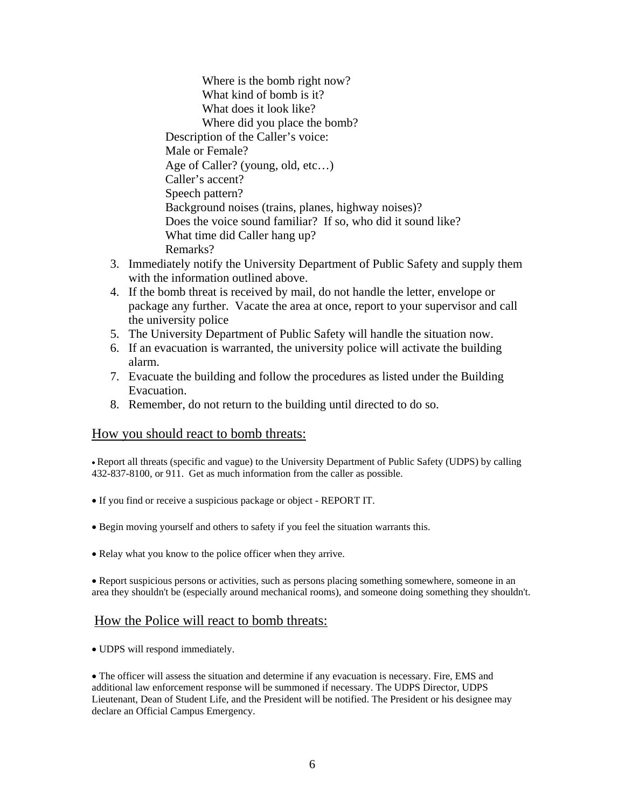Where is the bomb right now? What kind of bomb is it? What does it look like? Where did you place the bomb? Description of the Caller's voice: Male or Female? Age of Caller? (young, old, etc…) Caller's accent? Speech pattern? Background noises (trains, planes, highway noises)? Does the voice sound familiar? If so, who did it sound like? What time did Caller hang up? Remarks?

- 3. Immediately notify the University Department of Public Safety and supply them with the information outlined above.
- 4. If the bomb threat is received by mail, do not handle the letter, envelope or package any further. Vacate the area at once, report to your supervisor and call the university police
- 5. The University Department of Public Safety will handle the situation now.
- 6. If an evacuation is warranted, the university police will activate the building alarm.
- 7. Evacuate the building and follow the procedures as listed under the Building Evacuation.
- 8. Remember, do not return to the building until directed to do so.

#### How you should react to bomb threats:

• Report all threats (specific and vague) to the University Department of Public Safety (UDPS) by calling 432-837-8100, or 911. Get as much information from the caller as possible.

- If you find or receive a suspicious package or object REPORT IT.
- Begin moving yourself and others to safety if you feel the situation warrants this.
- Relay what you know to the police officer when they arrive.

• Report suspicious persons or activities, such as persons placing something somewhere, someone in an area they shouldn't be (especially around mechanical rooms), and someone doing something they shouldn't.

#### How the Police will react to bomb threats:

• UDPS will respond immediately.

• The officer will assess the situation and determine if any evacuation is necessary. Fire, EMS and additional law enforcement response will be summoned if necessary. The UDPS Director, UDPS Lieutenant, Dean of Student Life, and the President will be notified. The President or his designee may declare an Official Campus Emergency.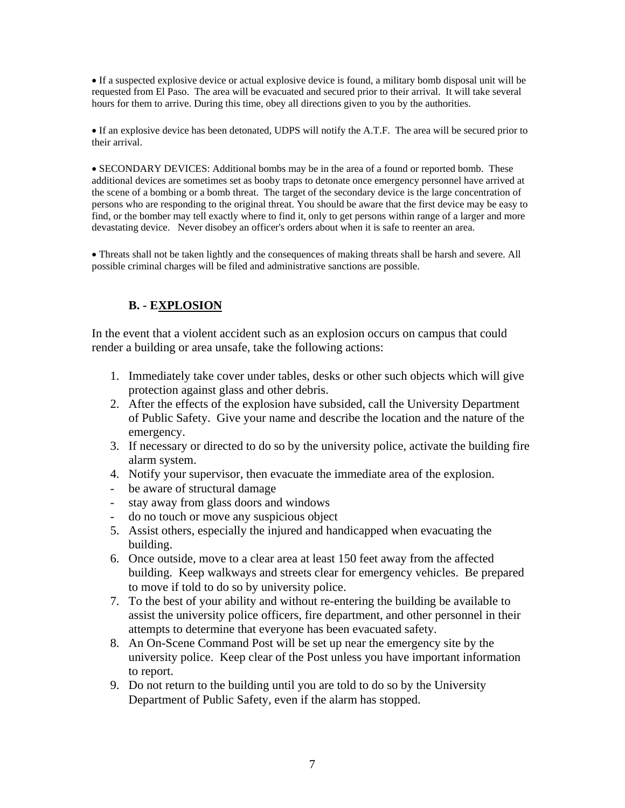• If a suspected explosive device or actual explosive device is found, a military bomb disposal unit will be requested from El Paso. The area will be evacuated and secured prior to their arrival. It will take several hours for them to arrive. During this time, obey all directions given to you by the authorities.

• If an explosive device has been detonated, UDPS will notify the A.T.F. The area will be secured prior to their arrival.

• SECONDARY DEVICES: Additional bombs may be in the area of a found or reported bomb. These additional devices are sometimes set as booby traps to detonate once emergency personnel have arrived at the scene of a bombing or a bomb threat. The target of the secondary device is the large concentration of persons who are responding to the original threat. You should be aware that the first device may be easy to find, or the bomber may tell exactly where to find it, only to get persons within range of a larger and more devastating device. Never disobey an officer's orders about when it is safe to reenter an area.

• Threats shall not be taken lightly and the consequences of making threats shall be harsh and severe. All possible criminal charges will be filed and administrative sanctions are possible.

### **B. - EXPLOSION**

In the event that a violent accident such as an explosion occurs on campus that could render a building or area unsafe, take the following actions:

- 1. Immediately take cover under tables, desks or other such objects which will give protection against glass and other debris.
- 2. After the effects of the explosion have subsided, call the University Department of Public Safety. Give your name and describe the location and the nature of the emergency.
- 3. If necessary or directed to do so by the university police, activate the building fire alarm system.
- 4. Notify your supervisor, then evacuate the immediate area of the explosion.
- be aware of structural damage
- stay away from glass doors and windows
- do no touch or move any suspicious object
- 5. Assist others, especially the injured and handicapped when evacuating the building.
- 6. Once outside, move to a clear area at least 150 feet away from the affected building. Keep walkways and streets clear for emergency vehicles. Be prepared to move if told to do so by university police.
- 7. To the best of your ability and without re-entering the building be available to assist the university police officers, fire department, and other personnel in their attempts to determine that everyone has been evacuated safety.
- 8. An On-Scene Command Post will be set up near the emergency site by the university police. Keep clear of the Post unless you have important information to report.
- 9. Do not return to the building until you are told to do so by the University Department of Public Safety, even if the alarm has stopped.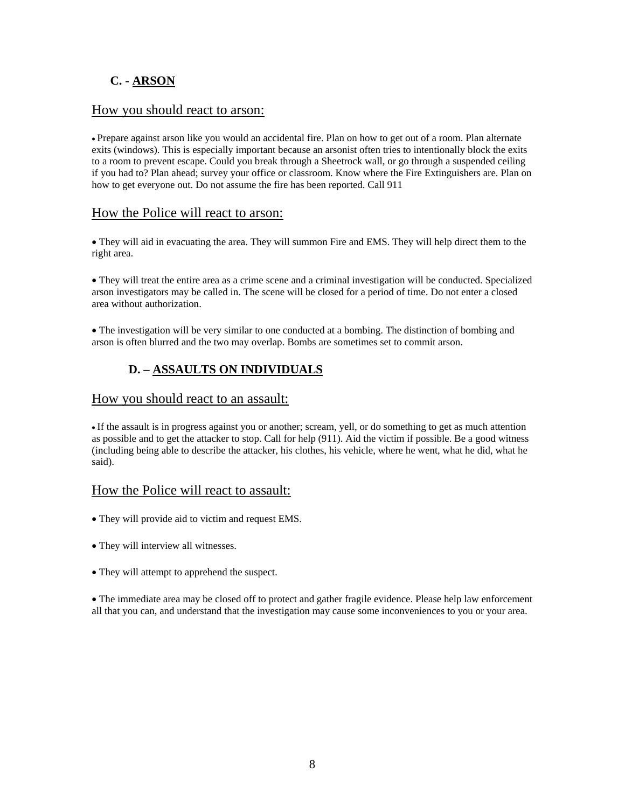### **C. - ARSON**

#### How you should react to arson:

• Prepare against arson like you would an accidental fire. Plan on how to get out of a room. Plan alternate exits (windows). This is especially important because an arsonist often tries to intentionally block the exits to a room to prevent escape. Could you break through a Sheetrock wall, or go through a suspended ceiling if you had to? Plan ahead; survey your office or classroom. Know where the Fire Extinguishers are. Plan on how to get everyone out. Do not assume the fire has been reported. Call 911

#### How the Police will react to arson:

• They will aid in evacuating the area. They will summon Fire and EMS. They will help direct them to the right area.

• They will treat the entire area as a crime scene and a criminal investigation will be conducted. Specialized arson investigators may be called in. The scene will be closed for a period of time. Do not enter a closed area without authorization.

• The investigation will be very similar to one conducted at a bombing. The distinction of bombing and arson is often blurred and the two may overlap. Bombs are sometimes set to commit arson.

### **D. – ASSAULTS ON INDIVIDUALS**

#### How you should react to an assault:

• If the assault is in progress against you or another; scream, yell, or do something to get as much attention as possible and to get the attacker to stop. Call for help (911). Aid the victim if possible. Be a good witness (including being able to describe the attacker, his clothes, his vehicle, where he went, what he did, what he said).

#### How the Police will react to assault:

- They will provide aid to victim and request EMS.
- They will interview all witnesses.
- They will attempt to apprehend the suspect.

• The immediate area may be closed off to protect and gather fragile evidence. Please help law enforcement all that you can, and understand that the investigation may cause some inconveniences to you or your area.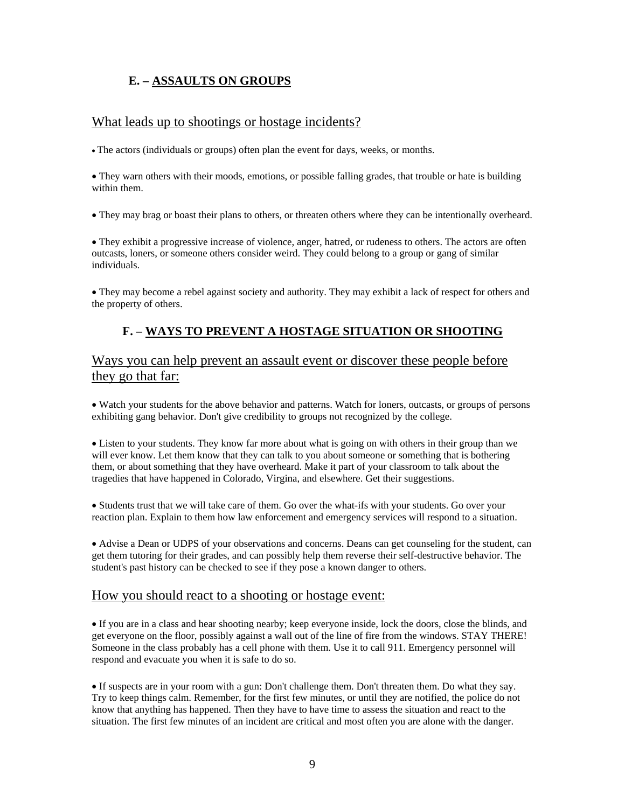### **E. – ASSAULTS ON GROUPS**

#### What leads up to shootings or hostage incidents?

• The actors (individuals or groups) often plan the event for days, weeks, or months.

• They warn others with their moods, emotions, or possible falling grades, that trouble or hate is building within them.

• They may brag or boast their plans to others, or threaten others where they can be intentionally overheard.

• They exhibit a progressive increase of violence, anger, hatred, or rudeness to others. The actors are often outcasts, loners, or someone others consider weird. They could belong to a group or gang of similar individuals.

• They may become a rebel against society and authority. They may exhibit a lack of respect for others and the property of others.

### **F. – WAYS TO PREVENT A HOSTAGE SITUATION OR SHOOTING**

### Ways you can help prevent an assault event or discover these people before they go that far:

• Watch your students for the above behavior and patterns. Watch for loners, outcasts, or groups of persons exhibiting gang behavior. Don't give credibility to groups not recognized by the college.

• Listen to your students. They know far more about what is going on with others in their group than we will ever know. Let them know that they can talk to you about someone or something that is bothering them, or about something that they have overheard. Make it part of your classroom to talk about the tragedies that have happened in Colorado, Virgina, and elsewhere. Get their suggestions.

• Students trust that we will take care of them. Go over the what-ifs with your students. Go over your reaction plan. Explain to them how law enforcement and emergency services will respond to a situation.

• Advise a Dean or UDPS of your observations and concerns. Deans can get counseling for the student, can get them tutoring for their grades, and can possibly help them reverse their self-destructive behavior. The student's past history can be checked to see if they pose a known danger to others.

#### How you should react to a shooting or hostage event:

• If you are in a class and hear shooting nearby; keep everyone inside, lock the doors, close the blinds, and get everyone on the floor, possibly against a wall out of the line of fire from the windows. STAY THERE! Someone in the class probably has a cell phone with them. Use it to call 911. Emergency personnel will respond and evacuate you when it is safe to do so.

• If suspects are in your room with a gun: Don't challenge them. Don't threaten them. Do what they say. Try to keep things calm. Remember, for the first few minutes, or until they are notified, the police do not know that anything has happened. Then they have to have time to assess the situation and react to the situation. The first few minutes of an incident are critical and most often you are alone with the danger.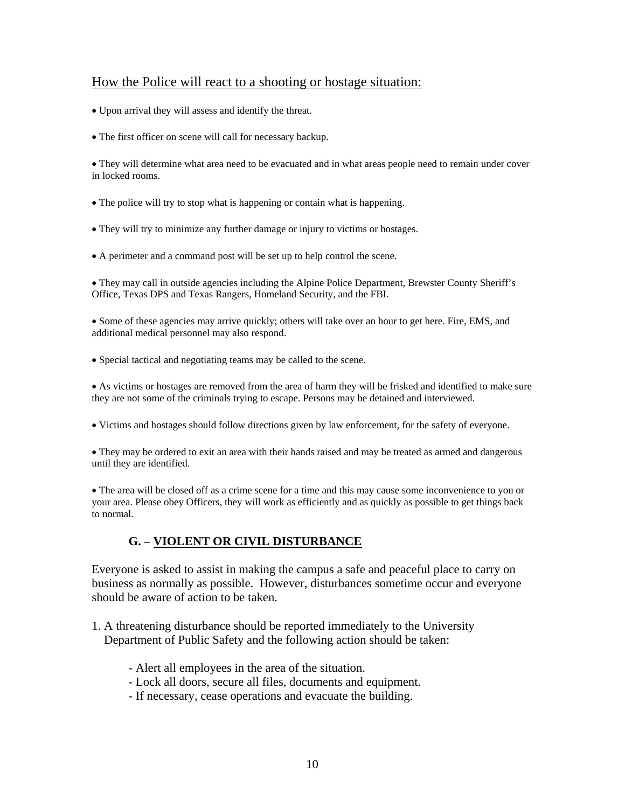### How the Police will react to a shooting or hostage situation:

• Upon arrival they will assess and identify the threat.

• The first officer on scene will call for necessary backup.

• They will determine what area need to be evacuated and in what areas people need to remain under cover in locked rooms.

- The police will try to stop what is happening or contain what is happening.
- They will try to minimize any further damage or injury to victims or hostages.
- A perimeter and a command post will be set up to help control the scene.

• They may call in outside agencies including the Alpine Police Department, Brewster County Sheriff's Office, Texas DPS and Texas Rangers, Homeland Security, and the FBI.

• Some of these agencies may arrive quickly; others will take over an hour to get here. Fire, EMS, and additional medical personnel may also respond.

• Special tactical and negotiating teams may be called to the scene.

• As victims or hostages are removed from the area of harm they will be frisked and identified to make sure they are not some of the criminals trying to escape. Persons may be detained and interviewed.

• Victims and hostages should follow directions given by law enforcement, for the safety of everyone.

• They may be ordered to exit an area with their hands raised and may be treated as armed and dangerous until they are identified.

• The area will be closed off as a crime scene for a time and this may cause some inconvenience to you or your area. Please obey Officers, they will work as efficiently and as quickly as possible to get things back to normal.

### **G. – VIOLENT OR CIVIL DISTURBANCE**

Everyone is asked to assist in making the campus a safe and peaceful place to carry on business as normally as possible. However, disturbances sometime occur and everyone should be aware of action to be taken.

- 1. A threatening disturbance should be reported immediately to the University Department of Public Safety and the following action should be taken:
	- Alert all employees in the area of the situation.
	- Lock all doors, secure all files, documents and equipment.
	- If necessary, cease operations and evacuate the building.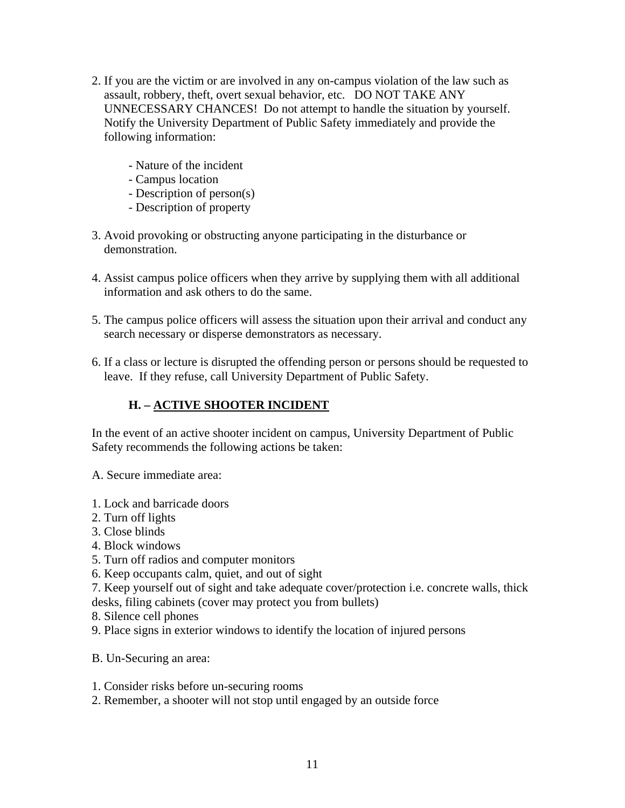- 2. If you are the victim or are involved in any on-campus violation of the law such as assault, robbery, theft, overt sexual behavior, etc. DO NOT TAKE ANY UNNECESSARY CHANCES! Do not attempt to handle the situation by yourself. Notify the University Department of Public Safety immediately and provide the following information:
	- Nature of the incident
	- Campus location
	- Description of person(s)
	- Description of property
- 3. Avoid provoking or obstructing anyone participating in the disturbance or demonstration.
- 4. Assist campus police officers when they arrive by supplying them with all additional information and ask others to do the same.
- 5. The campus police officers will assess the situation upon their arrival and conduct any search necessary or disperse demonstrators as necessary.
- 6. If a class or lecture is disrupted the offending person or persons should be requested to leave. If they refuse, call University Department of Public Safety.

### **H. – ACTIVE SHOOTER INCIDENT**

In the event of an active shooter incident on campus, University Department of Public Safety recommends the following actions be taken:

A. Secure immediate area:

- 1. Lock and barricade doors
- 2. Turn off lights
- 3. Close blinds
- 4. Block windows
- 5. Turn off radios and computer monitors
- 6. Keep occupants calm, quiet, and out of sight
- 7. Keep yourself out of sight and take adequate cover/protection i.e. concrete walls, thick
- desks, filing cabinets (cover may protect you from bullets)
- 8. Silence cell phones
- 9. Place signs in exterior windows to identify the location of injured persons

B. Un-Securing an area:

- 1. Consider risks before un-securing rooms
- 2. Remember, a shooter will not stop until engaged by an outside force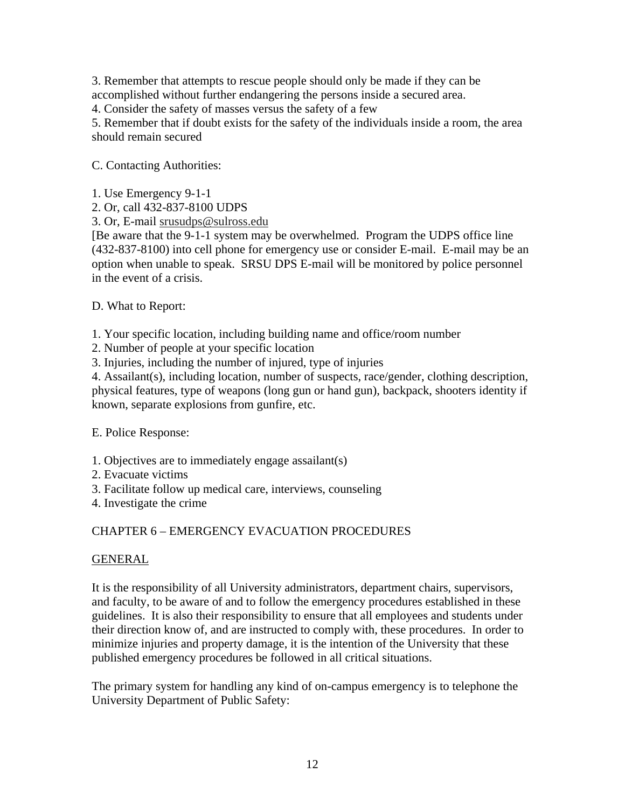3. Remember that attempts to rescue people should only be made if they can be accomplished without further endangering the persons inside a secured area.

4. Consider the safety of masses versus the safety of a few

5. Remember that if doubt exists for the safety of the individuals inside a room, the area should remain secured

C. Contacting Authorities:

- 1. Use Emergency 9-1-1
- 2. Or, call 432-837-8100 UDPS

3. Or, E-mail srusudps@sulross.edu

[Be aware that the 9-1-1 system may be overwhelmed. Program the UDPS office line (432-837-8100) into cell phone for emergency use or consider E-mail. E-mail may be an option when unable to speak. SRSU DPS E-mail will be monitored by police personnel in the event of a crisis.

D. What to Report:

1. Your specific location, including building name and office/room number

2. Number of people at your specific location

3. Injuries, including the number of injured, type of injuries

4. Assailant(s), including location, number of suspects, race/gender, clothing description, physical features, type of weapons (long gun or hand gun), backpack, shooters identity if known, separate explosions from gunfire, etc.

E. Police Response:

- 1. Objectives are to immediately engage assailant(s)
- 2. Evacuate victims
- 3. Facilitate follow up medical care, interviews, counseling
- 4. Investigate the crime

### CHAPTER 6 – EMERGENCY EVACUATION PROCEDURES

#### GENERAL

It is the responsibility of all University administrators, department chairs, supervisors, and faculty, to be aware of and to follow the emergency procedures established in these guidelines. It is also their responsibility to ensure that all employees and students under their direction know of, and are instructed to comply with, these procedures. In order to minimize injuries and property damage, it is the intention of the University that these published emergency procedures be followed in all critical situations.

The primary system for handling any kind of on-campus emergency is to telephone the University Department of Public Safety: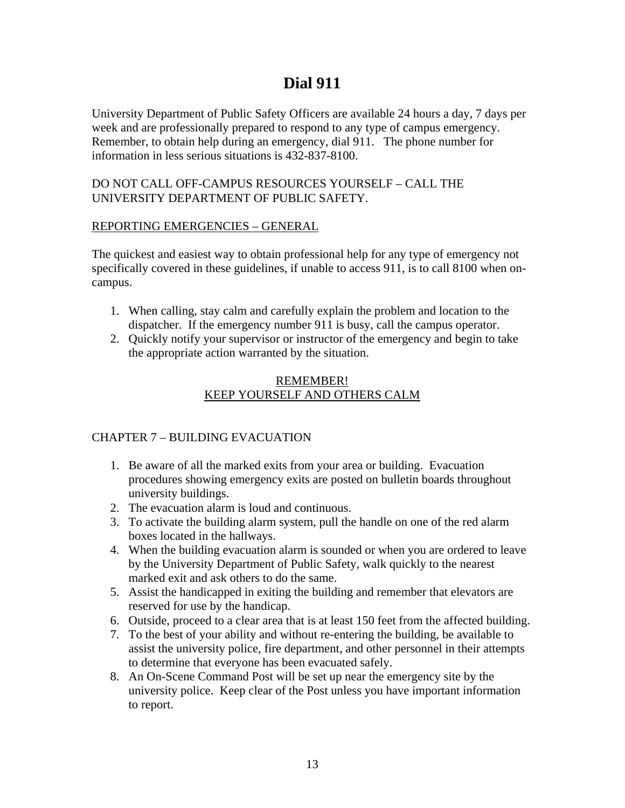## **Dial 911**

University Department of Public Safety Officers are available 24 hours a day, 7 days per week and are professionally prepared to respond to any type of campus emergency. Remember, to obtain help during an emergency, dial 911. The phone number for information in less serious situations is 432-837-8100.

#### DO NOT CALL OFF-CAMPUS RESOURCES YOURSELF – CALL THE UNIVERSITY DEPARTMENT OF PUBLIC SAFETY.

#### REPORTING EMERGENCIES – GENERAL

The quickest and easiest way to obtain professional help for any type of emergency not specifically covered in these guidelines, if unable to access 911, is to call 8100 when oncampus.

- 1. When calling, stay calm and carefully explain the problem and location to the dispatcher. If the emergency number 911 is busy, call the campus operator.
- 2. Quickly notify your supervisor or instructor of the emergency and begin to take the appropriate action warranted by the situation.

### REMEMBER! KEEP YOURSELF AND OTHERS CALM

### CHAPTER 7 – BUILDING EVACUATION

- 1. Be aware of all the marked exits from your area or building. Evacuation procedures showing emergency exits are posted on bulletin boards throughout university buildings.
- 2. The evacuation alarm is loud and continuous.
- 3. To activate the building alarm system, pull the handle on one of the red alarm boxes located in the hallways.
- 4. When the building evacuation alarm is sounded or when you are ordered to leave by the University Department of Public Safety, walk quickly to the nearest marked exit and ask others to do the same.
- 5. Assist the handicapped in exiting the building and remember that elevators are reserved for use by the handicap.
- 6. Outside, proceed to a clear area that is at least 150 feet from the affected building.
- 7. To the best of your ability and without re-entering the building, be available to assist the university police, fire department, and other personnel in their attempts to determine that everyone has been evacuated safely.
- 8. An On-Scene Command Post will be set up near the emergency site by the university police. Keep clear of the Post unless you have important information to report.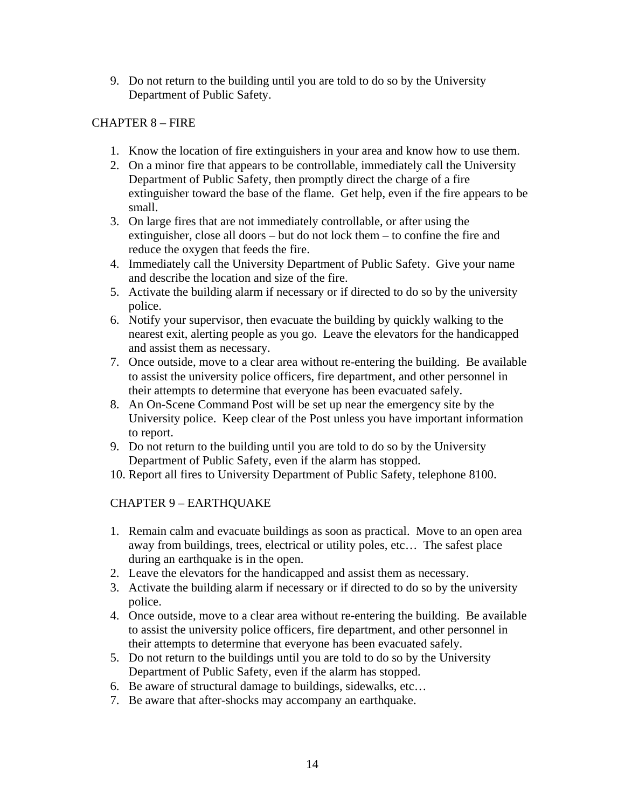9. Do not return to the building until you are told to do so by the University Department of Public Safety.

### CHAPTER 8 – FIRE

- 1. Know the location of fire extinguishers in your area and know how to use them.
- 2. On a minor fire that appears to be controllable, immediately call the University Department of Public Safety, then promptly direct the charge of a fire extinguisher toward the base of the flame. Get help, even if the fire appears to be small.
- 3. On large fires that are not immediately controllable, or after using the extinguisher, close all doors – but do not lock them – to confine the fire and reduce the oxygen that feeds the fire.
- 4. Immediately call the University Department of Public Safety. Give your name and describe the location and size of the fire.
- 5. Activate the building alarm if necessary or if directed to do so by the university police.
- 6. Notify your supervisor, then evacuate the building by quickly walking to the nearest exit, alerting people as you go. Leave the elevators for the handicapped and assist them as necessary.
- 7. Once outside, move to a clear area without re-entering the building. Be available to assist the university police officers, fire department, and other personnel in their attempts to determine that everyone has been evacuated safely.
- 8. An On-Scene Command Post will be set up near the emergency site by the University police. Keep clear of the Post unless you have important information to report.
- 9. Do not return to the building until you are told to do so by the University Department of Public Safety, even if the alarm has stopped.
- 10. Report all fires to University Department of Public Safety, telephone 8100.

### CHAPTER 9 – EARTHQUAKE

- 1. Remain calm and evacuate buildings as soon as practical. Move to an open area away from buildings, trees, electrical or utility poles, etc… The safest place during an earthquake is in the open.
- 2. Leave the elevators for the handicapped and assist them as necessary.
- 3. Activate the building alarm if necessary or if directed to do so by the university police.
- 4. Once outside, move to a clear area without re-entering the building. Be available to assist the university police officers, fire department, and other personnel in their attempts to determine that everyone has been evacuated safely.
- 5. Do not return to the buildings until you are told to do so by the University Department of Public Safety, even if the alarm has stopped.
- 6. Be aware of structural damage to buildings, sidewalks, etc…
- 7. Be aware that after-shocks may accompany an earthquake.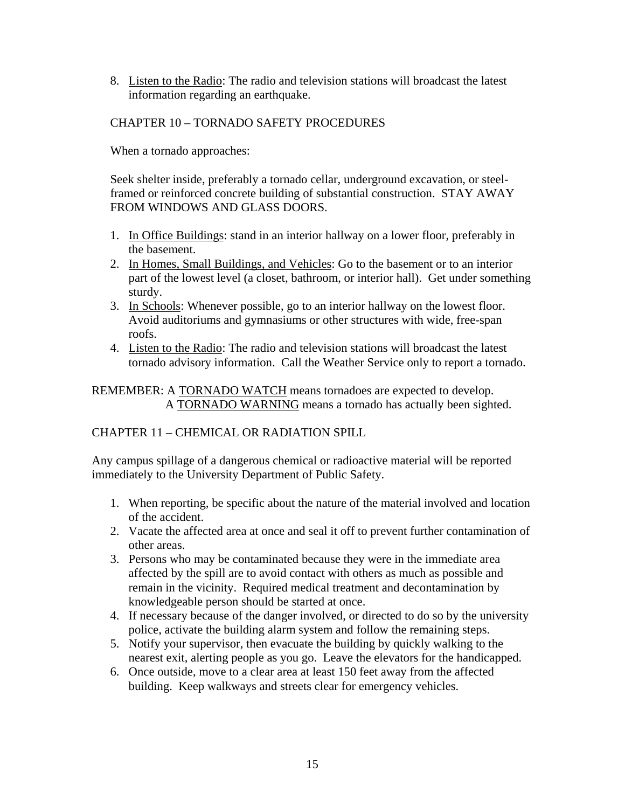8. Listen to the Radio: The radio and television stations will broadcast the latest information regarding an earthquake.

### CHAPTER 10 – TORNADO SAFETY PROCEDURES

When a tornado approaches:

Seek shelter inside, preferably a tornado cellar, underground excavation, or steelframed or reinforced concrete building of substantial construction. STAY AWAY FROM WINDOWS AND GLASS DOORS.

- 1. In Office Buildings: stand in an interior hallway on a lower floor, preferably in the basement.
- 2. In Homes, Small Buildings, and Vehicles: Go to the basement or to an interior part of the lowest level (a closet, bathroom, or interior hall). Get under something sturdy.
- 3. In Schools: Whenever possible, go to an interior hallway on the lowest floor. Avoid auditoriums and gymnasiums or other structures with wide, free-span roofs.
- 4. Listen to the Radio: The radio and television stations will broadcast the latest tornado advisory information. Call the Weather Service only to report a tornado.

REMEMBER: A TORNADO WATCH means tornadoes are expected to develop. A TORNADO WARNING means a tornado has actually been sighted.

### CHAPTER 11 – CHEMICAL OR RADIATION SPILL

Any campus spillage of a dangerous chemical or radioactive material will be reported immediately to the University Department of Public Safety.

- 1. When reporting, be specific about the nature of the material involved and location of the accident.
- 2. Vacate the affected area at once and seal it off to prevent further contamination of other areas.
- 3. Persons who may be contaminated because they were in the immediate area affected by the spill are to avoid contact with others as much as possible and remain in the vicinity. Required medical treatment and decontamination by knowledgeable person should be started at once.
- 4. If necessary because of the danger involved, or directed to do so by the university police, activate the building alarm system and follow the remaining steps.
- 5. Notify your supervisor, then evacuate the building by quickly walking to the nearest exit, alerting people as you go. Leave the elevators for the handicapped.
- 6. Once outside, move to a clear area at least 150 feet away from the affected building. Keep walkways and streets clear for emergency vehicles.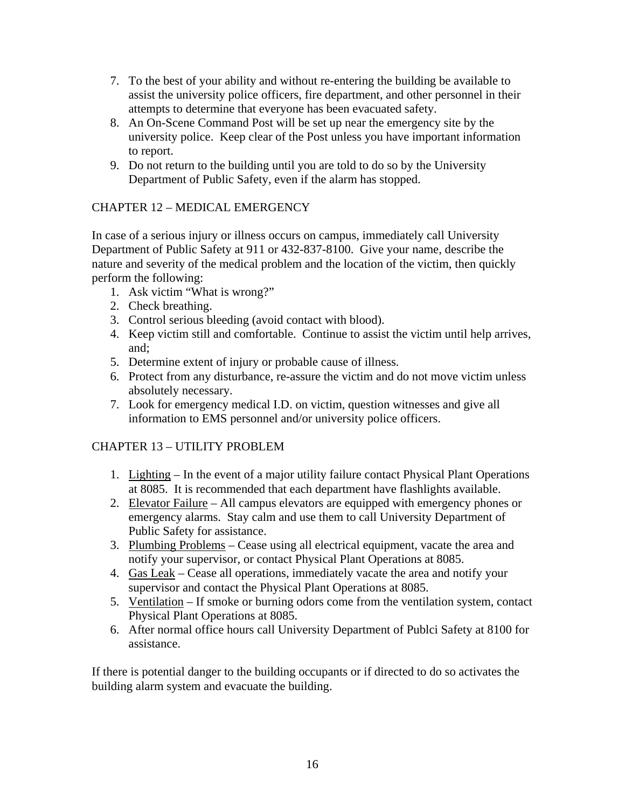- 7. To the best of your ability and without re-entering the building be available to assist the university police officers, fire department, and other personnel in their attempts to determine that everyone has been evacuated safety.
- 8. An On-Scene Command Post will be set up near the emergency site by the university police. Keep clear of the Post unless you have important information to report.
- 9. Do not return to the building until you are told to do so by the University Department of Public Safety, even if the alarm has stopped.

### CHAPTER 12 – MEDICAL EMERGENCY

In case of a serious injury or illness occurs on campus, immediately call University Department of Public Safety at 911 or 432-837-8100. Give your name, describe the nature and severity of the medical problem and the location of the victim, then quickly perform the following:

- 1. Ask victim "What is wrong?"
- 2. Check breathing.
- 3. Control serious bleeding (avoid contact with blood).
- 4. Keep victim still and comfortable. Continue to assist the victim until help arrives, and;
- 5. Determine extent of injury or probable cause of illness.
- 6. Protect from any disturbance, re-assure the victim and do not move victim unless absolutely necessary.
- 7. Look for emergency medical I.D. on victim, question witnesses and give all information to EMS personnel and/or university police officers.

### CHAPTER 13 – UTILITY PROBLEM

- 1. Lighting In the event of a major utility failure contact Physical Plant Operations at 8085. It is recommended that each department have flashlights available.
- 2. Elevator Failure All campus elevators are equipped with emergency phones or emergency alarms. Stay calm and use them to call University Department of Public Safety for assistance.
- 3. Plumbing Problems Cease using all electrical equipment, vacate the area and notify your supervisor, or contact Physical Plant Operations at 8085.
- 4. Gas Leak Cease all operations, immediately vacate the area and notify your supervisor and contact the Physical Plant Operations at 8085.
- 5. Ventilation If smoke or burning odors come from the ventilation system, contact Physical Plant Operations at 8085.
- 6. After normal office hours call University Department of Publci Safety at 8100 for assistance.

If there is potential danger to the building occupants or if directed to do so activates the building alarm system and evacuate the building.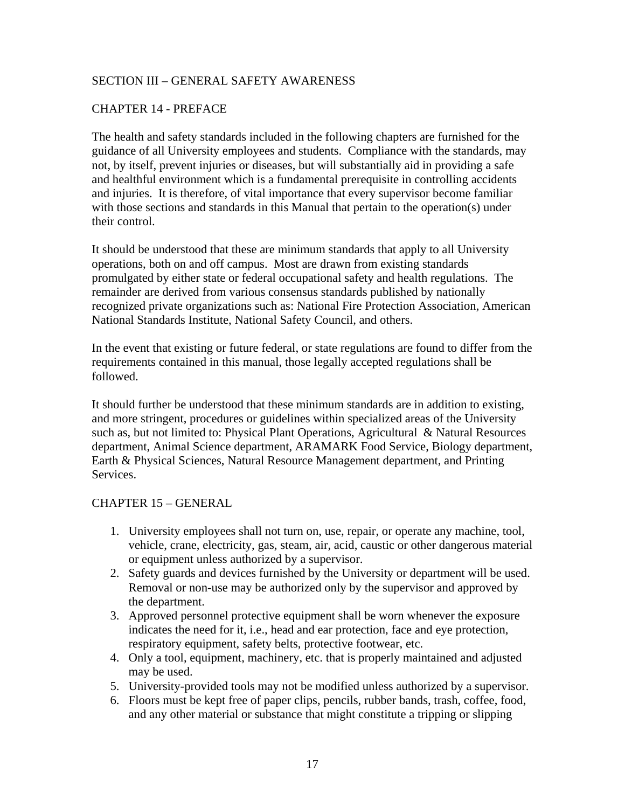### SECTION III – GENERAL SAFETY AWARENESS

#### CHAPTER 14 - PREFACE

The health and safety standards included in the following chapters are furnished for the guidance of all University employees and students. Compliance with the standards, may not, by itself, prevent injuries or diseases, but will substantially aid in providing a safe and healthful environment which is a fundamental prerequisite in controlling accidents and injuries. It is therefore, of vital importance that every supervisor become familiar with those sections and standards in this Manual that pertain to the operation(s) under their control.

It should be understood that these are minimum standards that apply to all University operations, both on and off campus. Most are drawn from existing standards promulgated by either state or federal occupational safety and health regulations. The remainder are derived from various consensus standards published by nationally recognized private organizations such as: National Fire Protection Association, American National Standards Institute, National Safety Council, and others.

In the event that existing or future federal, or state regulations are found to differ from the requirements contained in this manual, those legally accepted regulations shall be followed.

It should further be understood that these minimum standards are in addition to existing, and more stringent, procedures or guidelines within specialized areas of the University such as, but not limited to: Physical Plant Operations, Agricultural & Natural Resources department, Animal Science department, ARAMARK Food Service, Biology department, Earth & Physical Sciences, Natural Resource Management department, and Printing Services.

#### CHAPTER 15 – GENERAL

- 1. University employees shall not turn on, use, repair, or operate any machine, tool, vehicle, crane, electricity, gas, steam, air, acid, caustic or other dangerous material or equipment unless authorized by a supervisor.
- 2. Safety guards and devices furnished by the University or department will be used. Removal or non-use may be authorized only by the supervisor and approved by the department.
- 3. Approved personnel protective equipment shall be worn whenever the exposure indicates the need for it, i.e., head and ear protection, face and eye protection, respiratory equipment, safety belts, protective footwear, etc.
- 4. Only a tool, equipment, machinery, etc. that is properly maintained and adjusted may be used.
- 5. University-provided tools may not be modified unless authorized by a supervisor.
- 6. Floors must be kept free of paper clips, pencils, rubber bands, trash, coffee, food, and any other material or substance that might constitute a tripping or slipping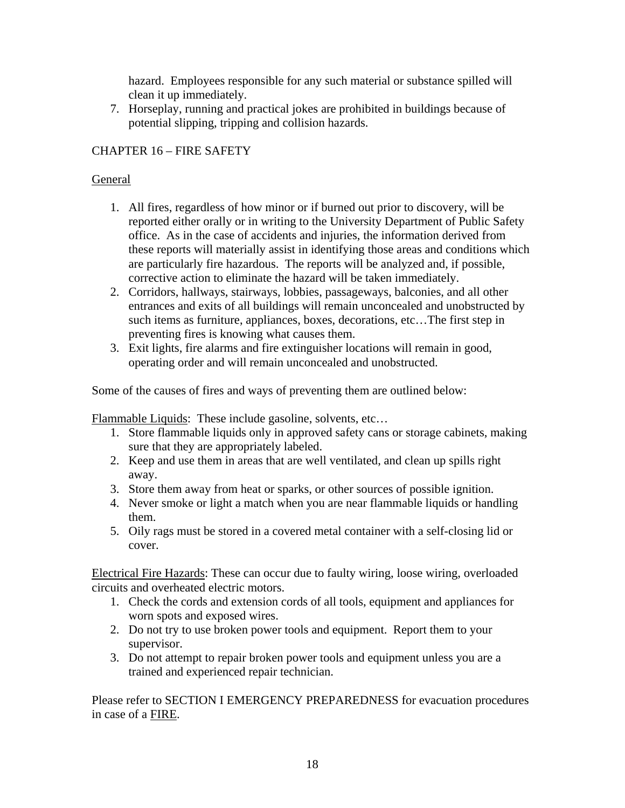hazard. Employees responsible for any such material or substance spilled will clean it up immediately.

7. Horseplay, running and practical jokes are prohibited in buildings because of potential slipping, tripping and collision hazards.

### CHAPTER 16 – FIRE SAFETY

#### General

- 1. All fires, regardless of how minor or if burned out prior to discovery, will be reported either orally or in writing to the University Department of Public Safety office. As in the case of accidents and injuries, the information derived from these reports will materially assist in identifying those areas and conditions which are particularly fire hazardous. The reports will be analyzed and, if possible, corrective action to eliminate the hazard will be taken immediately.
- 2. Corridors, hallways, stairways, lobbies, passageways, balconies, and all other entrances and exits of all buildings will remain unconcealed and unobstructed by such items as furniture, appliances, boxes, decorations, etc…The first step in preventing fires is knowing what causes them.
- 3. Exit lights, fire alarms and fire extinguisher locations will remain in good, operating order and will remain unconcealed and unobstructed.

Some of the causes of fires and ways of preventing them are outlined below:

Flammable Liquids: These include gasoline, solvents, etc…

- 1. Store flammable liquids only in approved safety cans or storage cabinets, making sure that they are appropriately labeled.
- 2. Keep and use them in areas that are well ventilated, and clean up spills right away.
- 3. Store them away from heat or sparks, or other sources of possible ignition.
- 4. Never smoke or light a match when you are near flammable liquids or handling them.
- 5. Oily rags must be stored in a covered metal container with a self-closing lid or cover.

Electrical Fire Hazards: These can occur due to faulty wiring, loose wiring, overloaded circuits and overheated electric motors.

- 1. Check the cords and extension cords of all tools, equipment and appliances for worn spots and exposed wires.
- 2. Do not try to use broken power tools and equipment. Report them to your supervisor.
- 3. Do not attempt to repair broken power tools and equipment unless you are a trained and experienced repair technician.

Please refer to SECTION I EMERGENCY PREPAREDNESS for evacuation procedures in case of a FIRE.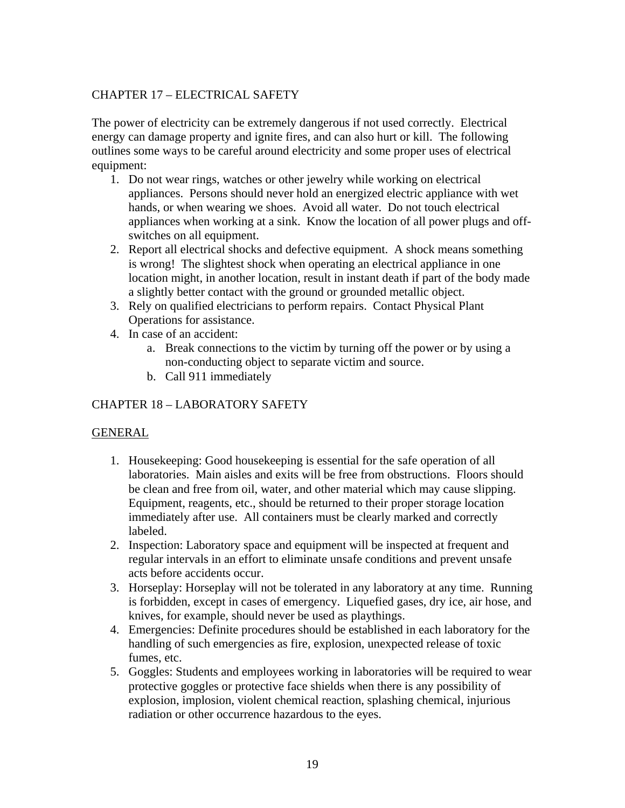### CHAPTER 17 – ELECTRICAL SAFETY

The power of electricity can be extremely dangerous if not used correctly. Electrical energy can damage property and ignite fires, and can also hurt or kill. The following outlines some ways to be careful around electricity and some proper uses of electrical equipment:

- 1. Do not wear rings, watches or other jewelry while working on electrical appliances. Persons should never hold an energized electric appliance with wet hands, or when wearing we shoes. Avoid all water. Do not touch electrical appliances when working at a sink. Know the location of all power plugs and offswitches on all equipment.
- 2. Report all electrical shocks and defective equipment. A shock means something is wrong! The slightest shock when operating an electrical appliance in one location might, in another location, result in instant death if part of the body made a slightly better contact with the ground or grounded metallic object.
- 3. Rely on qualified electricians to perform repairs. Contact Physical Plant Operations for assistance.
- 4. In case of an accident:
	- a. Break connections to the victim by turning off the power or by using a non-conducting object to separate victim and source.
	- b. Call 911 immediately

### CHAPTER 18 – LABORATORY SAFETY

#### GENERAL

- 1. Housekeeping: Good housekeeping is essential for the safe operation of all laboratories. Main aisles and exits will be free from obstructions. Floors should be clean and free from oil, water, and other material which may cause slipping. Equipment, reagents, etc., should be returned to their proper storage location immediately after use. All containers must be clearly marked and correctly labeled.
- 2. Inspection: Laboratory space and equipment will be inspected at frequent and regular intervals in an effort to eliminate unsafe conditions and prevent unsafe acts before accidents occur.
- 3. Horseplay: Horseplay will not be tolerated in any laboratory at any time. Running is forbidden, except in cases of emergency. Liquefied gases, dry ice, air hose, and knives, for example, should never be used as playthings.
- 4. Emergencies: Definite procedures should be established in each laboratory for the handling of such emergencies as fire, explosion, unexpected release of toxic fumes, etc.
- 5. Goggles: Students and employees working in laboratories will be required to wear protective goggles or protective face shields when there is any possibility of explosion, implosion, violent chemical reaction, splashing chemical, injurious radiation or other occurrence hazardous to the eyes.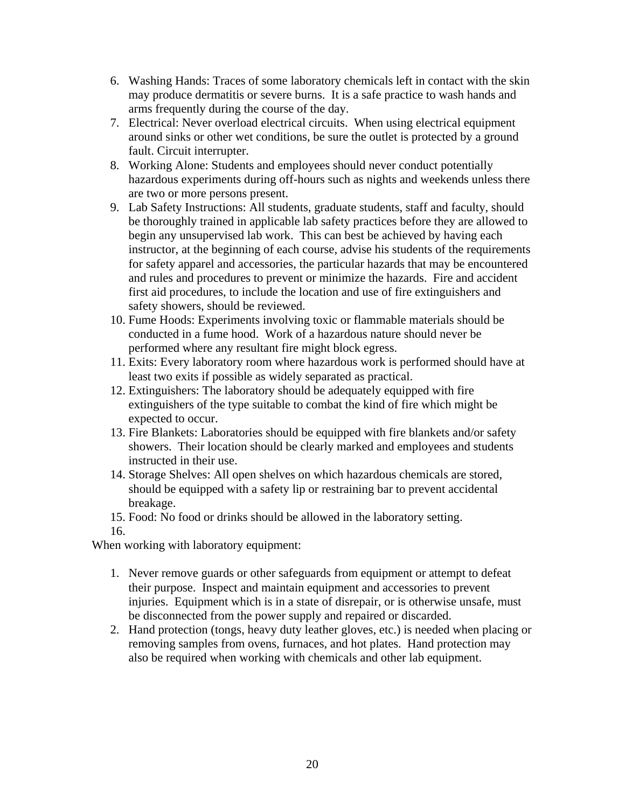- 6. Washing Hands: Traces of some laboratory chemicals left in contact with the skin may produce dermatitis or severe burns. It is a safe practice to wash hands and arms frequently during the course of the day.
- 7. Electrical: Never overload electrical circuits. When using electrical equipment around sinks or other wet conditions, be sure the outlet is protected by a ground fault. Circuit interrupter.
- 8. Working Alone: Students and employees should never conduct potentially hazardous experiments during off-hours such as nights and weekends unless there are two or more persons present.
- 9. Lab Safety Instructions: All students, graduate students, staff and faculty, should be thoroughly trained in applicable lab safety practices before they are allowed to begin any unsupervised lab work. This can best be achieved by having each instructor, at the beginning of each course, advise his students of the requirements for safety apparel and accessories, the particular hazards that may be encountered and rules and procedures to prevent or minimize the hazards. Fire and accident first aid procedures, to include the location and use of fire extinguishers and safety showers, should be reviewed.
- 10. Fume Hoods: Experiments involving toxic or flammable materials should be conducted in a fume hood. Work of a hazardous nature should never be performed where any resultant fire might block egress.
- 11. Exits: Every laboratory room where hazardous work is performed should have at least two exits if possible as widely separated as practical.
- 12. Extinguishers: The laboratory should be adequately equipped with fire extinguishers of the type suitable to combat the kind of fire which might be expected to occur.
- 13. Fire Blankets: Laboratories should be equipped with fire blankets and/or safety showers. Their location should be clearly marked and employees and students instructed in their use.
- 14. Storage Shelves: All open shelves on which hazardous chemicals are stored, should be equipped with a safety lip or restraining bar to prevent accidental breakage.
- 15. Food: No food or drinks should be allowed in the laboratory setting.

### 16.

When working with laboratory equipment:

- 1. Never remove guards or other safeguards from equipment or attempt to defeat their purpose. Inspect and maintain equipment and accessories to prevent injuries. Equipment which is in a state of disrepair, or is otherwise unsafe, must be disconnected from the power supply and repaired or discarded.
- 2. Hand protection (tongs, heavy duty leather gloves, etc.) is needed when placing or removing samples from ovens, furnaces, and hot plates. Hand protection may also be required when working with chemicals and other lab equipment.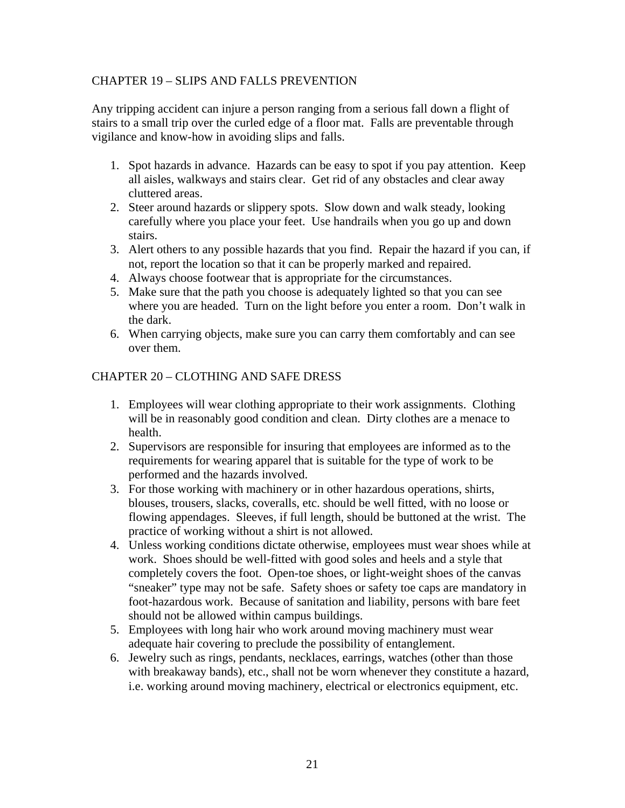### CHAPTER 19 – SLIPS AND FALLS PREVENTION

Any tripping accident can injure a person ranging from a serious fall down a flight of stairs to a small trip over the curled edge of a floor mat. Falls are preventable through vigilance and know-how in avoiding slips and falls.

- 1. Spot hazards in advance. Hazards can be easy to spot if you pay attention. Keep all aisles, walkways and stairs clear. Get rid of any obstacles and clear away cluttered areas.
- 2. Steer around hazards or slippery spots. Slow down and walk steady, looking carefully where you place your feet. Use handrails when you go up and down stairs.
- 3. Alert others to any possible hazards that you find. Repair the hazard if you can, if not, report the location so that it can be properly marked and repaired.
- 4. Always choose footwear that is appropriate for the circumstances.
- 5. Make sure that the path you choose is adequately lighted so that you can see where you are headed. Turn on the light before you enter a room. Don't walk in the dark.
- 6. When carrying objects, make sure you can carry them comfortably and can see over them.

#### CHAPTER 20 – CLOTHING AND SAFE DRESS

- 1. Employees will wear clothing appropriate to their work assignments. Clothing will be in reasonably good condition and clean. Dirty clothes are a menace to health.
- 2. Supervisors are responsible for insuring that employees are informed as to the requirements for wearing apparel that is suitable for the type of work to be performed and the hazards involved.
- 3. For those working with machinery or in other hazardous operations, shirts, blouses, trousers, slacks, coveralls, etc. should be well fitted, with no loose or flowing appendages. Sleeves, if full length, should be buttoned at the wrist. The practice of working without a shirt is not allowed.
- 4. Unless working conditions dictate otherwise, employees must wear shoes while at work. Shoes should be well-fitted with good soles and heels and a style that completely covers the foot. Open-toe shoes, or light-weight shoes of the canvas "sneaker" type may not be safe. Safety shoes or safety toe caps are mandatory in foot-hazardous work. Because of sanitation and liability, persons with bare feet should not be allowed within campus buildings.
- 5. Employees with long hair who work around moving machinery must wear adequate hair covering to preclude the possibility of entanglement.
- 6. Jewelry such as rings, pendants, necklaces, earrings, watches (other than those with breakaway bands), etc., shall not be worn whenever they constitute a hazard, i.e. working around moving machinery, electrical or electronics equipment, etc.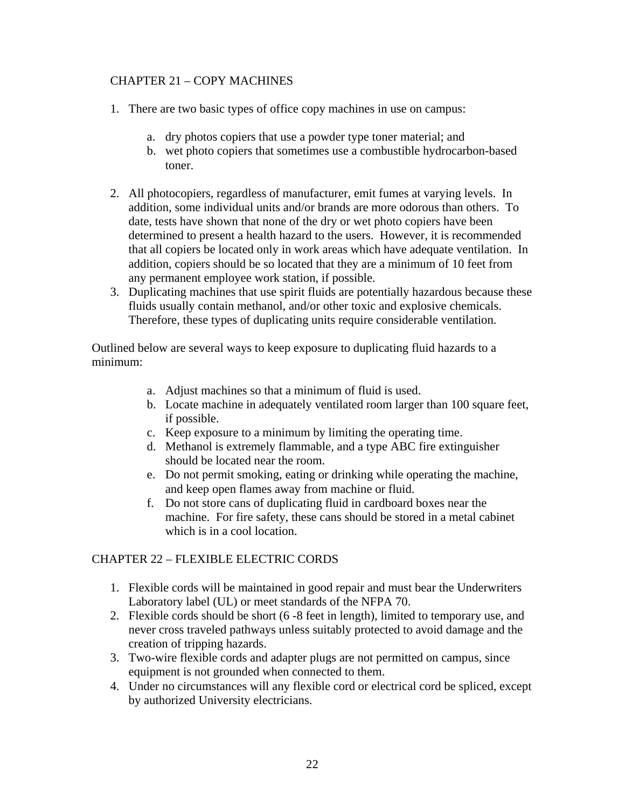### CHAPTER 21 – COPY MACHINES

- 1. There are two basic types of office copy machines in use on campus:
	- a. dry photos copiers that use a powder type toner material; and
	- b. wet photo copiers that sometimes use a combustible hydrocarbon-based toner.
- 2. All photocopiers, regardless of manufacturer, emit fumes at varying levels. In addition, some individual units and/or brands are more odorous than others. To date, tests have shown that none of the dry or wet photo copiers have been determined to present a health hazard to the users. However, it is recommended that all copiers be located only in work areas which have adequate ventilation. In addition, copiers should be so located that they are a minimum of 10 feet from any permanent employee work station, if possible.
- 3. Duplicating machines that use spirit fluids are potentially hazardous because these fluids usually contain methanol, and/or other toxic and explosive chemicals. Therefore, these types of duplicating units require considerable ventilation.

Outlined below are several ways to keep exposure to duplicating fluid hazards to a minimum:

- a. Adjust machines so that a minimum of fluid is used.
- b. Locate machine in adequately ventilated room larger than 100 square feet, if possible.
- c. Keep exposure to a minimum by limiting the operating time.
- d. Methanol is extremely flammable, and a type ABC fire extinguisher should be located near the room.
- e. Do not permit smoking, eating or drinking while operating the machine, and keep open flames away from machine or fluid.
- f. Do not store cans of duplicating fluid in cardboard boxes near the machine. For fire safety, these cans should be stored in a metal cabinet which is in a cool location.

### CHAPTER 22 – FLEXIBLE ELECTRIC CORDS

- 1. Flexible cords will be maintained in good repair and must bear the Underwriters Laboratory label (UL) or meet standards of the NFPA 70.
- 2. Flexible cords should be short (6 -8 feet in length), limited to temporary use, and never cross traveled pathways unless suitably protected to avoid damage and the creation of tripping hazards.
- 3. Two-wire flexible cords and adapter plugs are not permitted on campus, since equipment is not grounded when connected to them.
- 4. Under no circumstances will any flexible cord or electrical cord be spliced, except by authorized University electricians.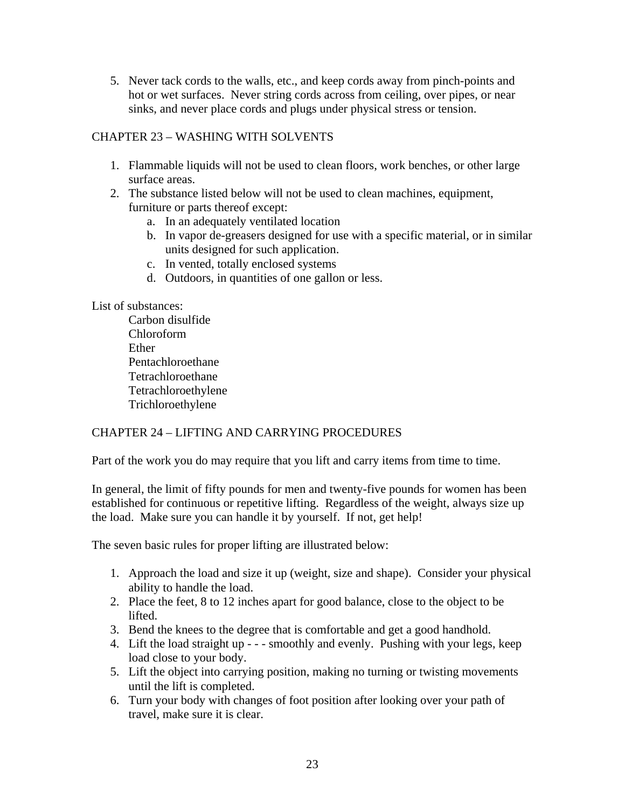5. Never tack cords to the walls, etc., and keep cords away from pinch-points and hot or wet surfaces. Never string cords across from ceiling, over pipes, or near sinks, and never place cords and plugs under physical stress or tension.

### CHAPTER 23 – WASHING WITH SOLVENTS

- 1. Flammable liquids will not be used to clean floors, work benches, or other large surface areas.
- 2. The substance listed below will not be used to clean machines, equipment, furniture or parts thereof except:
	- a. In an adequately ventilated location
	- b. In vapor de-greasers designed for use with a specific material, or in similar units designed for such application.
	- c. In vented, totally enclosed systems
	- d. Outdoors, in quantities of one gallon or less.

#### List of substances:

 Carbon disulfide Chloroform Ether Pentachloroethane Tetrachloroethane Tetrachloroethylene Trichloroethylene

### CHAPTER 24 – LIFTING AND CARRYING PROCEDURES

Part of the work you do may require that you lift and carry items from time to time.

In general, the limit of fifty pounds for men and twenty-five pounds for women has been established for continuous or repetitive lifting. Regardless of the weight, always size up the load. Make sure you can handle it by yourself. If not, get help!

The seven basic rules for proper lifting are illustrated below:

- 1. Approach the load and size it up (weight, size and shape). Consider your physical ability to handle the load.
- 2. Place the feet, 8 to 12 inches apart for good balance, close to the object to be lifted.
- 3. Bend the knees to the degree that is comfortable and get a good handhold.
- 4. Lift the load straight up - smoothly and evenly. Pushing with your legs, keep load close to your body.
- 5. Lift the object into carrying position, making no turning or twisting movements until the lift is completed.
- 6. Turn your body with changes of foot position after looking over your path of travel, make sure it is clear.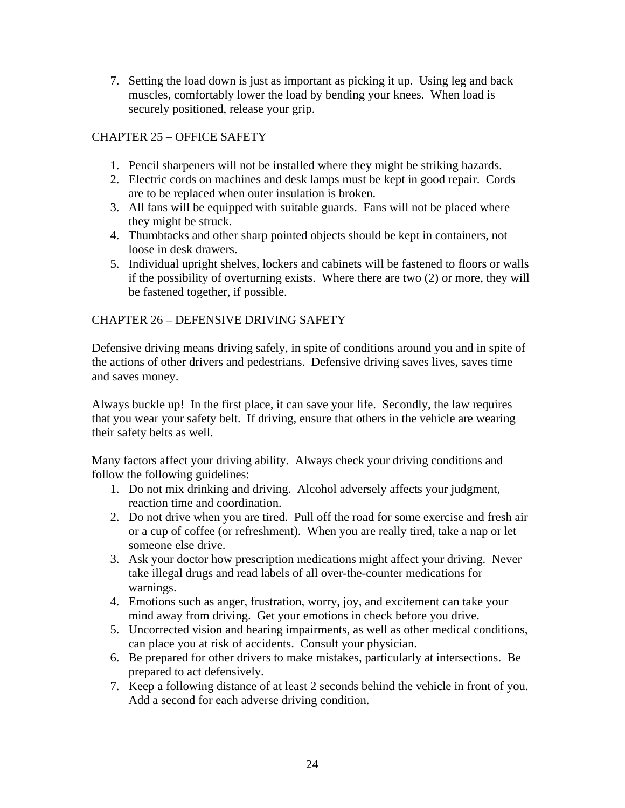7. Setting the load down is just as important as picking it up. Using leg and back muscles, comfortably lower the load by bending your knees. When load is securely positioned, release your grip.

### CHAPTER 25 – OFFICE SAFETY

- 1. Pencil sharpeners will not be installed where they might be striking hazards.
- 2. Electric cords on machines and desk lamps must be kept in good repair. Cords are to be replaced when outer insulation is broken.
- 3. All fans will be equipped with suitable guards. Fans will not be placed where they might be struck.
- 4. Thumbtacks and other sharp pointed objects should be kept in containers, not loose in desk drawers.
- 5. Individual upright shelves, lockers and cabinets will be fastened to floors or walls if the possibility of overturning exists. Where there are two (2) or more, they will be fastened together, if possible.

### CHAPTER 26 – DEFENSIVE DRIVING SAFETY

Defensive driving means driving safely, in spite of conditions around you and in spite of the actions of other drivers and pedestrians. Defensive driving saves lives, saves time and saves money.

Always buckle up! In the first place, it can save your life. Secondly, the law requires that you wear your safety belt. If driving, ensure that others in the vehicle are wearing their safety belts as well.

Many factors affect your driving ability. Always check your driving conditions and follow the following guidelines:

- 1. Do not mix drinking and driving. Alcohol adversely affects your judgment, reaction time and coordination.
- 2. Do not drive when you are tired. Pull off the road for some exercise and fresh air or a cup of coffee (or refreshment). When you are really tired, take a nap or let someone else drive.
- 3. Ask your doctor how prescription medications might affect your driving. Never take illegal drugs and read labels of all over-the-counter medications for warnings.
- 4. Emotions such as anger, frustration, worry, joy, and excitement can take your mind away from driving. Get your emotions in check before you drive.
- 5. Uncorrected vision and hearing impairments, as well as other medical conditions, can place you at risk of accidents. Consult your physician.
- 6. Be prepared for other drivers to make mistakes, particularly at intersections. Be prepared to act defensively.
- 7. Keep a following distance of at least 2 seconds behind the vehicle in front of you. Add a second for each adverse driving condition.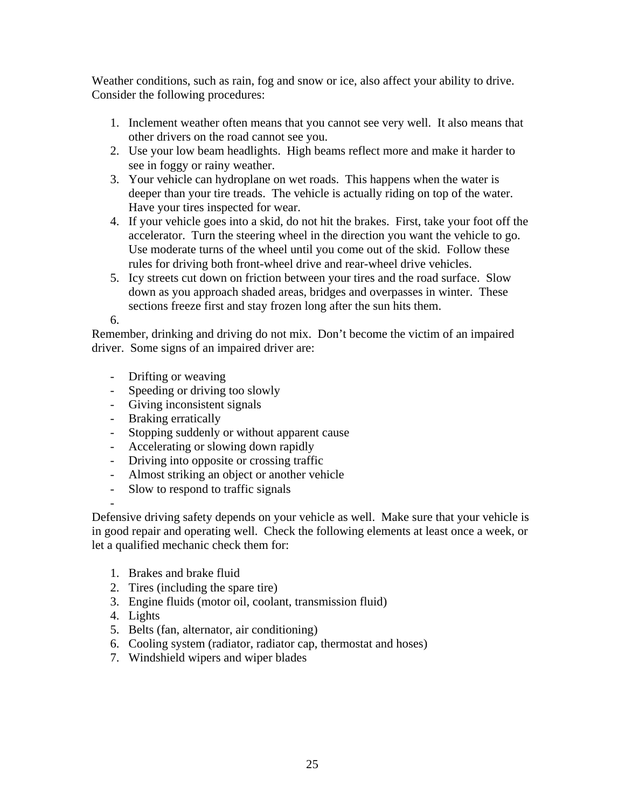Weather conditions, such as rain, fog and snow or ice, also affect your ability to drive. Consider the following procedures:

- 1. Inclement weather often means that you cannot see very well. It also means that other drivers on the road cannot see you.
- 2. Use your low beam headlights. High beams reflect more and make it harder to see in foggy or rainy weather.
- 3. Your vehicle can hydroplane on wet roads. This happens when the water is deeper than your tire treads. The vehicle is actually riding on top of the water. Have your tires inspected for wear.
- 4. If your vehicle goes into a skid, do not hit the brakes. First, take your foot off the accelerator. Turn the steering wheel in the direction you want the vehicle to go. Use moderate turns of the wheel until you come out of the skid. Follow these rules for driving both front-wheel drive and rear-wheel drive vehicles.
- 5. Icy streets cut down on friction between your tires and the road surface. Slow down as you approach shaded areas, bridges and overpasses in winter. These sections freeze first and stay frozen long after the sun hits them.

6.

-

Remember, drinking and driving do not mix. Don't become the victim of an impaired driver. Some signs of an impaired driver are:

- Drifting or weaving
- Speeding or driving too slowly
- Giving inconsistent signals
- Braking erratically
- Stopping suddenly or without apparent cause
- Accelerating or slowing down rapidly
- Driving into opposite or crossing traffic
- Almost striking an object or another vehicle
- Slow to respond to traffic signals

Defensive driving safety depends on your vehicle as well. Make sure that your vehicle is in good repair and operating well. Check the following elements at least once a week, or let a qualified mechanic check them for:

- 1. Brakes and brake fluid
- 2. Tires (including the spare tire)
- 3. Engine fluids (motor oil, coolant, transmission fluid)
- 4. Lights
- 5. Belts (fan, alternator, air conditioning)
- 6. Cooling system (radiator, radiator cap, thermostat and hoses)
- 7. Windshield wipers and wiper blades